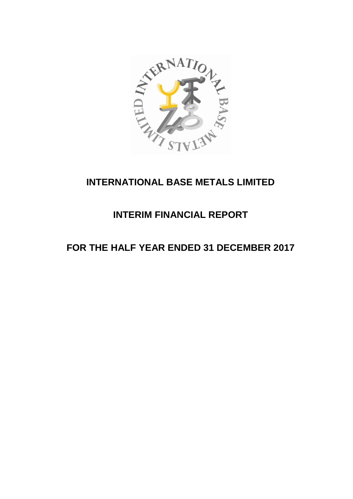

# **INTERNATIONAL BASE METALS LIMITED**

# **INTERIM FINANCIAL REPORT**

# **FOR THE HALF YEAR ENDED 31 DECEMBER 2017**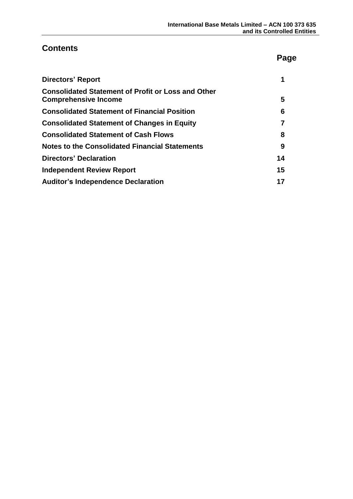# **Contents**

# **Page**

| <b>Directors' Report</b>                                                                 |    |
|------------------------------------------------------------------------------------------|----|
| <b>Consolidated Statement of Profit or Loss and Other</b><br><b>Comprehensive Income</b> | 5  |
| <b>Consolidated Statement of Financial Position</b>                                      | 6  |
| <b>Consolidated Statement of Changes in Equity</b>                                       | 7  |
| <b>Consolidated Statement of Cash Flows</b>                                              | 8  |
| <b>Notes to the Consolidated Financial Statements</b>                                    | 9  |
| <b>Directors' Declaration</b>                                                            | 14 |
| <b>Independent Review Report</b>                                                         | 15 |
| <b>Auditor's Independence Declaration</b>                                                | 17 |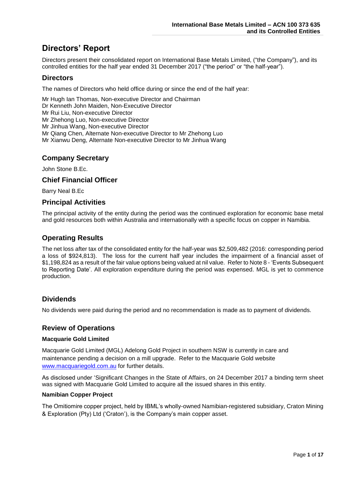# **Directors' Report**

Directors present their consolidated report on International Base Metals Limited, ("the Company"), and its controlled entities for the half year ended 31 December 2017 ("the period" or "the half-year").

# **Directors**

The names of Directors who held office during or since the end of the half year:

Mr Hugh Ian Thomas, Non-executive Director and Chairman Dr Kenneth John Maiden, Non-Executive Director Mr Rui Liu, Non-executive Director Mr Zhehong Luo, Non-executive Director Mr Jinhua Wang, Non-executive Director Mr Qiang Chen, Alternate Non-executive Director to Mr Zhehong Luo Mr Xianwu Deng, Alternate Non-executive Director to Mr Jinhua Wang

# **Company Secretary**

John Stone B.Ec.

## **Chief Financial Officer**

Barry Neal B.Ec

## **Principal Activities**

The principal activity of the entity during the period was the continued exploration for economic base metal and gold resources both within Australia and internationally with a specific focus on copper in Namibia.

# **Operating Results**

The net loss after tax of the consolidated entity for the half-year was \$2,509,482 (2016: corresponding period a loss of \$924,813). The loss for the current half year includes the impairment of a financial asset of \$1,198,824 as a result of the fair value options being valued at nil value. Refer to Note 8 - 'Events Subsequent to Reporting Date'. All exploration expenditure during the period was expensed. MGL is yet to commence production.

# **Dividends**

No dividends were paid during the period and no recommendation is made as to payment of dividends.

# **Review of Operations**

### **Macquarie Gold Limited**

Macquarie Gold Limited (MGL) Adelong Gold Project in southern NSW is currently in care and maintenance pending a decision on a mill upgrade. Refer to the Macquarie Gold website [www.macquariegold.com.au](http://www.macquariegold.com.au/) for further details.

As disclosed under 'Significant Changes in the State of Affairs, on 24 December 2017 a binding term sheet was signed with Macquarie Gold Limited to acquire all the issued shares in this entity.

### **Namibian Copper Project**

The Omitiomire copper project, held by IBML's wholly-owned Namibian-registered subsidiary, Craton Mining & Exploration (Pty) Ltd ('Craton'), is the Company's main copper asset.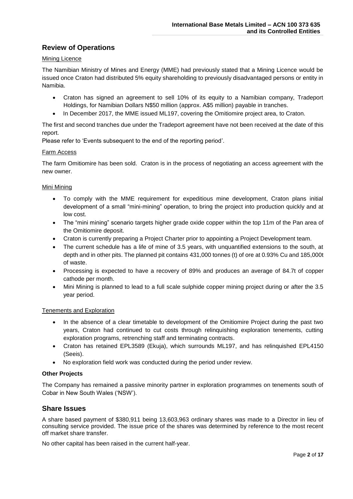# **Review of Operations**

## Mining Licence

The Namibian Ministry of Mines and Energy (MME) had previously stated that a Mining Licence would be issued once Craton had distributed 5% equity shareholding to previously disadvantaged persons or entity in Namibia.

- Craton has signed an agreement to sell 10% of its equity to a Namibian company, Tradeport Holdings, for Namibian Dollars N\$50 million (approx. A\$5 million) payable in tranches.
- In December 2017, the MME issued ML197, covering the Omitiomire project area, to Craton.

The first and second tranches due under the Tradeport agreement have not been received at the date of this report.

Please refer to 'Events subsequent to the end of the reporting period'.

## Farm Access

The farm Omitiomire has been sold. Craton is in the process of negotiating an access agreement with the new owner.

## Mini Mining

- To comply with the MME requirement for expeditious mine development, Craton plans initial development of a small "mini-mining" operation, to bring the project into production quickly and at low cost.
- The "mini mining" scenario targets higher grade oxide copper within the top 11m of the Pan area of the Omitiomire deposit.
- Craton is currently preparing a Project Charter prior to appointing a Project Development team.
- The current schedule has a life of mine of 3.5 years, with unquantified extensions to the south, at depth and in other pits. The planned pit contains 431,000 tonnes (t) of ore at 0.93% Cu and 185,000t of waste.
- Processing is expected to have a recovery of 89% and produces an average of 84.7t of copper cathode per month.
- Mini Mining is planned to lead to a full scale sulphide copper mining project during or after the 3.5 year period.

### Tenements and Exploration

- In the absence of a clear timetable to development of the Omitiomire Project during the past two years, Craton had continued to cut costs through relinquishing exploration tenements, cutting exploration programs, retrenching staff and terminating contracts.
- Craton has retained EPL3589 (Ekuja), which surrounds ML197, and has relinquished EPL4150 (Seeis).
- No exploration field work was conducted during the period under review.

## **Other Projects**

The Company has remained a passive minority partner in exploration programmes on tenements south of Cobar in New South Wales ('NSW').

## **Share Issues**

A share based payment of \$380,911 being 13,603,963 ordinary shares was made to a Director in lieu of consulting service provided. The issue price of the shares was determined by reference to the most recent off market share transfer.

No other capital has been raised in the current half-year.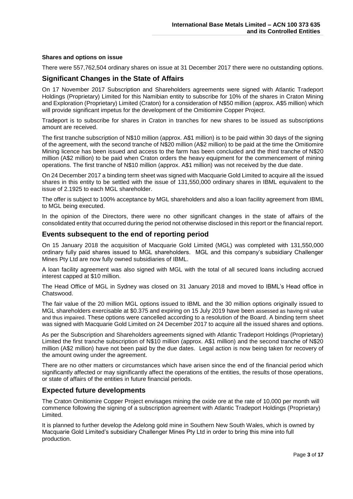## **Shares and options on issue**

There were 557,762,504 ordinary shares on issue at 31 December 2017 there were no outstanding options.

# **Significant Changes in the State of Affairs**

On 17 November 2017 Subscription and Shareholders agreements were signed with Atlantic Tradeport Holdings (Proprietary) Limited for this Namibian entity to subscribe for 10% of the shares in Craton Mining and Exploration (Proprietary) Limited (Craton) for a consideration of N\$50 million (approx. A\$5 million) which will provide significant impetus for the development of the Omitiomire Copper Project.

Tradeport is to subscribe for shares in Craton in tranches for new shares to be issued as subscriptions amount are received.

The first tranche subscription of N\$10 million (approx. A\$1 million) is to be paid within 30 days of the signing of the agreement, with the second tranche of N\$20 million (A\$2 million) to be paid at the time the Omitiomire Mining licence has been issued and access to the farm has been concluded and the third tranche of N\$20 million (A\$2 million) to be paid when Craton orders the heavy equipment for the commencement of mining operations. The first tranche of N\$10 million (approx. A\$1 million) was not received by the due date.

On 24 December 2017 a binding term sheet was signed with Macquarie Gold Limited to acquire all the issued shares in this entity to be settled with the issue of 131,550,000 ordinary shares in IBML equivalent to the issue of 2.1925 to each MGL shareholder.

The offer is subject to 100% acceptance by MGL shareholders and also a loan facility agreement from IBML to MGL being executed.

In the opinion of the Directors, there were no other significant changes in the state of affairs of the consolidated entity that occurred during the period not otherwise disclosed in this report or the financial report.

## **Events subsequent to the end of reporting period**

On 15 January 2018 the acquisition of Macquarie Gold Limited (MGL) was completed with 131,550,000 ordinary fully paid shares issued to MGL shareholders. MGL and this company's subsidiary Challenger Mines Pty Ltd are now fully owned subsidiaries of IBML.

A loan facility agreement was also signed with MGL with the total of all secured loans including accrued interest capped at \$10 million.

The Head Office of MGL in Sydney was closed on 31 January 2018 and moved to IBML's Head office in Chatswood.

The fair value of the 20 million MGL options issued to IBML and the 30 million options originally issued to MGL shareholders exercisable at \$0.375 and expiring on 15 July 2019 have been assessed as having nil value and thus impaired. These options were cancelled according to a resolution of the Board. A binding term sheet was signed with Macquarie Gold Limited on 24 December 2017 to acquire all the issued shares and options.

As per the Subscription and Shareholders agreements signed with Atlantic Tradeport Holdings (Proprietary) Limited the first tranche subscription of N\$10 million (approx. A\$1 million) and the second tranche of N\$20 million (A\$2 million) have not been paid by the due dates. Legal action is now being taken for recovery of the amount owing under the agreement.

There are no other matters or circumstances which have arisen since the end of the financial period which significantly affected or may significantly affect the operations of the entities, the results of those operations, or state of affairs of the entities in future financial periods.

# **Expected future developments**

The Craton Omitiomire Copper Project envisages mining the oxide ore at the rate of 10,000 per month will commence following the signing of a subscription agreement with Atlantic Tradeport Holdings (Proprietary) Limited.

It is planned to further develop the Adelong gold mine in Southern New South Wales, which is owned by Macquarie Gold Limited's subsidiary Challenger Mines Pty Ltd in order to bring this mine into full production.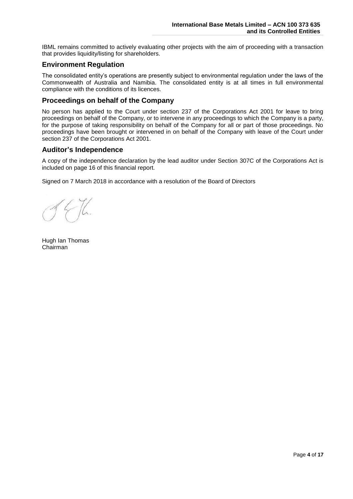IBML remains committed to actively evaluating other projects with the aim of proceeding with a transaction that provides liquidity/listing for shareholders.

## **Environment Regulation**

The consolidated entity's operations are presently subject to environmental regulation under the laws of the Commonwealth of Australia and Namibia. The consolidated entity is at all times in full environmental compliance with the conditions of its licences.

## **Proceedings on behalf of the Company**

No person has applied to the Court under section 237 of the Corporations Act 2001 for leave to bring proceedings on behalf of the Company, or to intervene in any proceedings to which the Company is a party, for the purpose of taking responsibility on behalf of the Company for all or part of those proceedings. No proceedings have been brought or intervened in on behalf of the Company with leave of the Court under section 237 of the Corporations Act 2001.

## **Auditor's Independence**

A copy of the independence declaration by the lead auditor under Section 307C of the Corporations Act is included on page 16 of this financial report.

Signed on 7 March 2018 in accordance with a resolution of the Board of Directors

Hugh Ian Thomas Chairman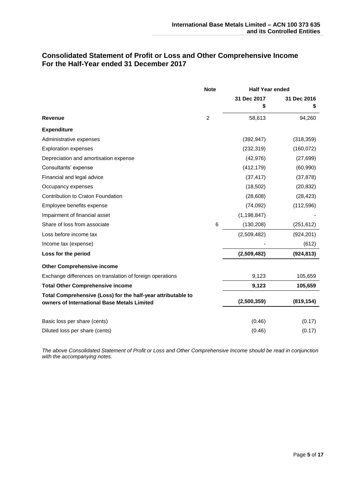# **Consolidated Statement of Profit or Loss and Other Comprehensive Income For the Half-Year ended 31 December 2017**

|                                                                                                             | <b>Note</b>    | <b>Half Year ended</b> |                   |
|-------------------------------------------------------------------------------------------------------------|----------------|------------------------|-------------------|
|                                                                                                             |                | 31 Dec 2017<br>\$      | 31 Dec 2016<br>\$ |
| <b>Revenue</b>                                                                                              | $\overline{c}$ | 58,613                 | 94,260            |
| <b>Expenditure</b>                                                                                          |                |                        |                   |
| Administrative expenses                                                                                     |                | (392, 947)             | (318, 359)        |
| <b>Exploration expenses</b>                                                                                 |                | (232, 319)             | (160, 072)        |
| Depreciation and amortisation expense                                                                       |                | (42, 976)              | (27, 699)         |
| Consultants' expense                                                                                        |                | (412, 179)             | (60, 990)         |
| Financial and legal advice                                                                                  |                | (37, 417)              | (37, 878)         |
| Occupancy expenses                                                                                          |                | (18, 502)              | (20, 832)         |
| Contribution to Craton Foundation                                                                           |                | (28, 608)              | (28, 423)         |
| Employee benefits expense                                                                                   |                | (74, 092)              | (112, 596)        |
| Impairment of financial asset                                                                               |                | (1, 198, 847)          |                   |
| Share of loss from associate                                                                                | 6              | (130, 208)             | (251, 612)        |
| Loss before income tax                                                                                      |                | (2,509,482)            | (924, 201)        |
| Income tax (expense)                                                                                        |                |                        | (612)             |
| Loss for the period                                                                                         |                | (2,509,482)            | (924, 813)        |
| <b>Other Comprehensive income</b>                                                                           |                |                        |                   |
| Exchange differences on translation of foreign operations                                                   |                | 9,123                  | 105,659           |
| <b>Total Other Comprehensive income</b>                                                                     |                | 9.123                  | 105,659           |
| Total Comprehensive (Loss) for the half-year attributable to<br>owners of International Base Metals Limited |                | (2,500,359)            | (819, 154)        |
| Basic loss per share (cents)                                                                                |                | (0.46)                 | (0.17)            |
| Diluted loss per share (cents)                                                                              |                | (0.46)                 | (0.17)            |

*The above Consolidated Statement of Profit or Loss and Other Comprehensive Income should be read in conjunction with the accompanying notes.*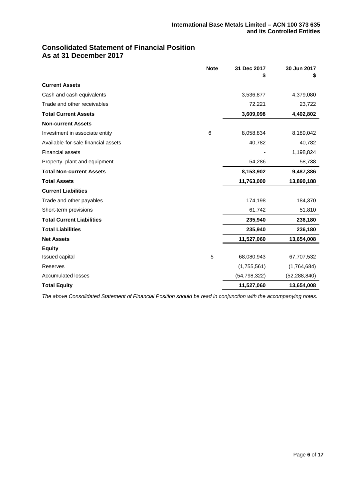# **Consolidated Statement of Financial Position As at 31 December 2017**

|                                     | <b>Note</b> | 31 Dec 2017    | 30 Jun 2017<br>\$ |
|-------------------------------------|-------------|----------------|-------------------|
| <b>Current Assets</b>               |             |                |                   |
| Cash and cash equivalents           |             | 3,536,877      | 4,379,080         |
| Trade and other receivables         |             | 72,221         | 23,722            |
| <b>Total Current Assets</b>         |             | 3,609,098      | 4,402,802         |
| <b>Non-current Assets</b>           |             |                |                   |
| Investment in associate entity      | 6           | 8,058,834      | 8,189,042         |
| Available-for-sale financial assets |             | 40,782         | 40,782            |
| <b>Financial assets</b>             |             |                | 1,198,824         |
| Property, plant and equipment       |             | 54,286         | 58,738            |
| <b>Total Non-current Assets</b>     |             | 8,153,902      | 9,487,386         |
| <b>Total Assets</b>                 |             | 11,763,000     | 13,890,188        |
| <b>Current Liabilities</b>          |             |                |                   |
| Trade and other payables            |             | 174,198        | 184,370           |
| Short-term provisions               |             | 61,742         | 51,810            |
| <b>Total Current Liabilities</b>    |             | 235,940        | 236,180           |
| <b>Total Liabilities</b>            |             | 235,940        | 236,180           |
| <b>Net Assets</b>                   |             | 11,527,060     | 13,654,008        |
| <b>Equity</b>                       |             |                |                   |
| Issued capital                      | 5           | 68,080,943     | 67,707,532        |
| Reserves                            |             | (1,755,561)    | (1,764,684)       |
| <b>Accumulated losses</b>           |             | (54, 798, 322) | (52, 288, 840)    |
| <b>Total Equity</b>                 |             | 11,527,060     | 13,654,008        |

*The above Consolidated Statement of Financial Position should be read in conjunction with the accompanying notes.*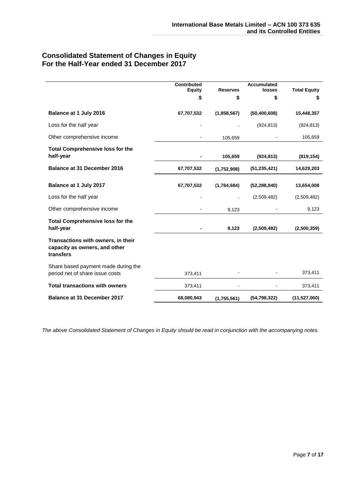# **Consolidated Statement of Changes in Equity For the Half-Year ended 31 December 2017**

|                                                                                  | <b>Contributed</b><br><b>Equity</b><br>\$ | <b>Reserves</b><br>\$ | <b>Accumulated</b><br>losses<br>\$ | <b>Total Equity</b><br>\$ |
|----------------------------------------------------------------------------------|-------------------------------------------|-----------------------|------------------------------------|---------------------------|
| Balance at 1 July 2016                                                           | 67,707,532                                | (1,858,567)           | (50, 400, 608)                     | 15,448,357                |
| Loss for the half year                                                           |                                           |                       | (924, 813)                         | (924, 813)                |
| Other comprehensive income                                                       |                                           | 105,659               |                                    | 105,659                   |
| <b>Total Comprehensive loss for the</b><br>half-year                             |                                           | 105,659               | (924, 813)                         | (819, 154)                |
| <b>Balance at 31 December 2016</b>                                               | 67,707,532                                | (1,752,908)           | (51, 235, 421)                     | 14,629,203                |
| Balance at 1 July 2017                                                           | 67,707,532                                | (1,764,684)           | (52, 288, 840)                     | 13,654,008                |
| Loss for the half year                                                           |                                           |                       | (2,509,482)                        | (2,509,482)               |
| Other comprehensive income                                                       |                                           | 9,123                 |                                    | 9,123                     |
| <b>Total Comprehensive loss for the</b><br>half-year                             |                                           | 9,123                 | (2,509,482)                        | (2,500,359)               |
| Transactions with owners, in their<br>capacity as owners, and other<br>transfers |                                           |                       |                                    |                           |
| Share based payment made during the<br>period net of share issue costs           | 373,411                                   |                       |                                    | 373,411                   |
| <b>Total transactions with owners</b>                                            | 373,411                                   |                       |                                    | 373,411                   |
| <b>Balance at 31 December 2017</b>                                               | 68,080,943                                | (1,755,561)           | (54, 798, 322)                     | (11,527,060)              |

*The above Consolidated Statement of Changes in Equity should be read in conjunction with the accompanying notes.*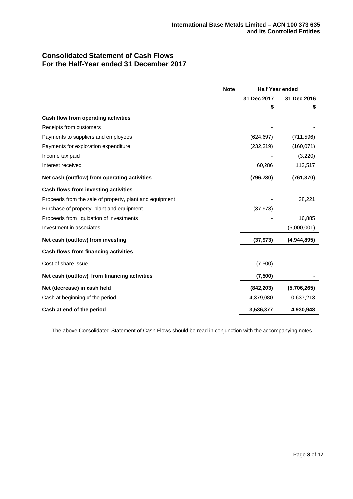# **Consolidated Statement of Cash Flows For the Half-Year ended 31 December 2017**

|                                                         | <b>Note</b> | <b>Half Year ended</b> |             |
|---------------------------------------------------------|-------------|------------------------|-------------|
|                                                         |             | 31 Dec 2017            | 31 Dec 2016 |
|                                                         |             | \$                     | \$          |
| Cash flow from operating activities                     |             |                        |             |
| Receipts from customers                                 |             |                        |             |
| Payments to suppliers and employees                     |             | (624, 697)             | (711, 596)  |
| Payments for exploration expenditure                    |             | (232, 319)             | (160, 071)  |
| Income tax paid                                         |             |                        | (3,220)     |
| Interest received                                       |             | 60,286                 | 113,517     |
| Net cash (outflow) from operating activities            |             | (796, 730)             | (761, 370)  |
| Cash flows from investing activities                    |             |                        |             |
| Proceeds from the sale of property, plant and equipment |             |                        | 38,221      |
| Purchase of property, plant and equipment               |             | (37, 973)              |             |
| Proceeds from liquidation of investments                |             |                        | 16,885      |
| Investment in associates                                |             |                        | (5,000,001) |
| Net cash (outflow) from investing                       |             | (37, 973)              | (4,944,895) |
| Cash flows from financing activities                    |             |                        |             |
| Cost of share issue                                     |             | (7,500)                |             |
| Net cash (outflow) from financing activities            |             | (7,500)                |             |
| Net (decrease) in cash held                             |             | (842, 203)             | (5,706,265) |
| Cash at beginning of the period                         |             | 4,379,080              | 10,637,213  |
| Cash at end of the period                               |             | 3,536,877              | 4,930,948   |

The above Consolidated Statement of Cash Flows should be read in conjunction with the accompanying notes.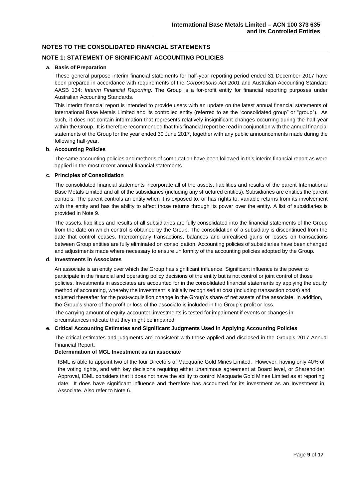## **NOTE 1: STATEMENT OF SIGNIFICANT ACCOUNTING POLICIES**

#### **a. Basis of Preparation**

These general purpose interim financial statements for half-year reporting period ended 31 December 2017 have been prepared in accordance with requirements of the *Corporations Act 2001* and Australian Accounting Standard AASB 134: *Interim Financial Reporting*. The Group is a for-profit entity for financial reporting purposes under Australian Accounting Standards.

This interim financial report is intended to provide users with an update on the latest annual financial statements of International Base Metals Limited and its controlled entity (referred to as the "consolidated group" or "group"). As such, it does not contain information that represents relatively insignificant changes occurring during the half-year within the Group. It is therefore recommended that this financial report be read in conjunction with the annual financial statements of the Group for the year ended 30 June 2017, together with any public announcements made during the following half-year.

#### **b. Accounting Policies**

The same accounting policies and methods of computation have been followed in this interim financial report as were applied in the most recent annual financial statements.

#### **c. Principles of Consolidation**

The consolidated financial statements incorporate all of the assets, liabilities and results of the parent International Base Metals Limited and all of the subsidiaries (including any structured entities). Subsidiaries are entities the parent controls. The parent controls an entity when it is exposed to, or has rights to, variable returns from its involvement with the entity and has the ability to affect those returns through its power over the entity. A list of subsidiaries is provided in Note 9.

The assets, liabilities and results of all subsidiaries are fully consolidated into the financial statements of the Group from the date on which control is obtained by the Group. The consolidation of a subsidiary is discontinued from the date that control ceases. Intercompany transactions, balances and unrealised gains or losses on transactions between Group entities are fully eliminated on consolidation. Accounting policies of subsidiaries have been changed and adjustments made where necessary to ensure uniformity of the accounting policies adopted by the Group.

#### **d. Investments in Associates**

An associate is an entity over which the Group has significant influence. Significant influence is the power to participate in the financial and operating policy decisions of the entity but is not control or joint control of those policies. Investments in associates are accounted for in the consolidated financial statements by applying the equity method of accounting, whereby the investment is initially recognised at cost (including transaction costs) and adjusted thereafter for the post-acquisition change in the Group's share of net assets of the associate. In addition, the Group's share of the profit or loss of the associate is included in the Group's profit or loss.

The carrying amount of equity-accounted investments is tested for impairment if events or changes in circumstances indicate that they might be impaired.

#### **e. Critical Accounting Estimates and Significant Judgments Used in Applying Accounting Policies**

The critical estimates and judgments are consistent with those applied and disclosed in the Group's 2017 Annual Financial Report.

#### **Determination of MGL Investment as an associate**

IBML is able to appoint two of the four Directors of Macquarie Gold Mines Limited. However, having only 40% of the voting rights, and with key decisions requiring either unanimous agreement at Board level, or Shareholder Approval, IBML considers that it does not have the ability to control Macquarie Gold Mines Limited as at reporting date. It does have significant influence and therefore has accounted for its investment as an Investment in Associate. Also refer to Note 6.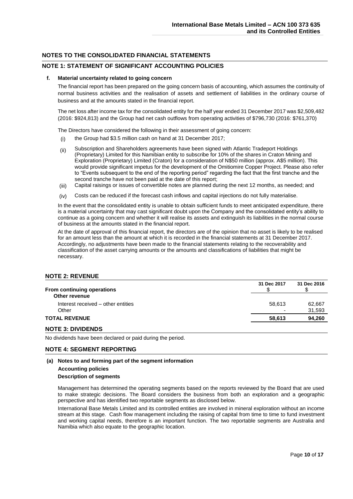### **NOTE 1: STATEMENT OF SIGNIFICANT ACCOUNTING POLICIES**

#### **f. Material uncertainty related to going concern**

The financial report has been prepared on the going concern basis of accounting, which assumes the continuity of normal business activities and the realisation of assets and settlement of liabilities in the ordinary course of business and at the amounts stated in the financial report.

The net loss after income tax for the consolidated entity for the half year ended 31 December 2017 was \$2,509,482 (2016: \$924,813) and the Group had net cash outflows from operating activities of \$796,730 (2016: \$761,370)

The Directors have considered the following in their assessment of going concern:

- (i) the Group had \$3.5 million cash on hand at 31 December 2017;
- (ii) Subscription and Shareholders agreements have been signed with Atlantic Tradeport Holdings (Proprietary) Limited for this Namibian entity to subscribe for 10% of the shares in Craton Mining and Exploration (Proprietary) Limited (Craton) for a consideration of N\$50 million (approx. A\$5 million). This would provide significant impetus for the development of the Omitiomire Copper Project. Please also refer to "Events subsequent to the end of the reporting period" regarding the fact that the first tranche and the second tranche have not been paid at the date of this report;
- (iii) Capital raisings or issues of convertible notes are planned during the next 12 months, as needed; and
- (iv) Costs can be reduced if the forecast cash inflows and capital injections do not fully materialise.

In the event that the consolidated entity is unable to obtain sufficient funds to meet anticipated expenditure, there is a material uncertainty that may cast significant doubt upon the Company and the consolidated entity's ability to continue as a going concern and whether it will realise its assets and extinguish its liabilities in the normal course of business at the amounts stated in the financial report.

At the date of approval of this financial report, the directors are of the opinion that no asset is likely to be realised for an amount less than the amount at which it is recorded in the financial statements at 31 December 2017. Accordingly, no adjustments have been made to the financial statements relating to the recoverability and classification of the asset carrying amounts or the amounts and classifications of liabilities that might be necessary.

#### **NOTE 2: REVENUE**

| From continuing operations         | 31 Dec 2017              | 31 Dec 2016 |
|------------------------------------|--------------------------|-------------|
| Other revenue                      |                          |             |
| Interest received – other entities | 58.613                   | 62.667      |
| Other                              | $\overline{\phantom{0}}$ | 31,593      |
| <b>TOTAL REVENUE</b>               | 58.613                   | 94,260      |
|                                    |                          |             |

#### **NOTE 3: DIVIDENDS**

No dividends have been declared or paid during the period.

### **NOTE 4: SEGMENT REPORTING**

### **(a) Notes to and forming part of the segment information**

#### **Accounting policies**

#### **Description of segments**

Management has determined the operating segments based on the reports reviewed by the Board that are used to make strategic decisions. The Board considers the business from both an exploration and a geographic perspective and has identified two reportable segments as disclosed below.

International Base Metals Limited and its controlled entities are involved in mineral exploration without an income stream at this stage. Cash flow management including the raising of capital from time to time to fund investment and working capital needs, therefore is an important function. The two reportable segments are Australia and Namibia which also equate to the geographic location.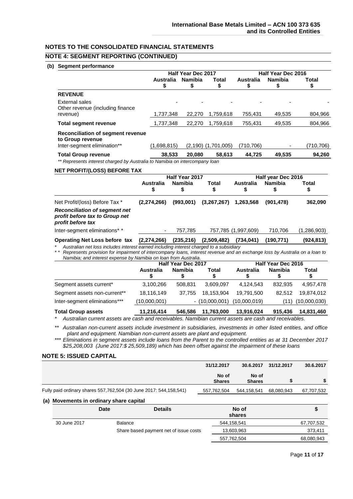## **NOTE 4: SEGMENT REPORTING (CONTINUED)**

#### **(b) Segment performance**

|                                                                                      |                        | Half Year Dec 2017                  |                         |                       | Half Year Dec 2016   |            |  |
|--------------------------------------------------------------------------------------|------------------------|-------------------------------------|-------------------------|-----------------------|----------------------|------------|--|
|                                                                                      | <b>Australia</b><br>\$ | <b>Namibia</b><br>5                 | Total<br>\$             | <b>Australia</b><br>S | <b>Namibia</b><br>\$ | Total<br>Ъ |  |
| <b>REVENUE</b>                                                                       |                        |                                     |                         |                       |                      |            |  |
| External sales<br>Other revenue (including finance<br>revenue)                       | 1,737,348              | 22,270                              | 1,759,618               | 755,431               | 49,535               | 804,966    |  |
| <b>Total segment revenue</b>                                                         | 1,737,348              | 22,270                              | 1,759,618               | 755,431               | 49,535               | 804,966    |  |
| Reconciliation of segment revenue<br>to Group revenue<br>Inter-segment elimination** | (1,698,815)            |                                     | $(2,190)$ $(1,701,005)$ | (710, 706)            |                      | (710,706)  |  |
| <b>Total Group revenue</b>                                                           | 38,533                 | 20,080                              | 58,613                  | 44,725                | 49,535               | 94,260     |  |
| ** Represents interest charged by Australia to Namibia on intercompany loan          |                        |                                     |                         |                       |                      |            |  |
| <b>NET PROFIT/(LOSS) BEFORE TAX</b>                                                  |                        |                                     |                         |                       |                      |            |  |
|                                                                                      | A 15 .                 | Half Year 2017<br>All and the first |                         | Accepted March 1976   | Half year Dec 2016   |            |  |

|             | Total | Namibia    | Australia           | Total       | Namibia    | Australia     |                                                                                                                                       |
|-------------|-------|------------|---------------------|-------------|------------|---------------|---------------------------------------------------------------------------------------------------------------------------------------|
| 362,090     |       | (901, 478) | 1,263,568           | (3,267,267) | (993,001)  | (2, 274, 266) | Net Profit/(loss) Before Tax *                                                                                                        |
|             |       |            |                     |             |            |               | <b>Reconciliation of segment net</b><br>profit before tax to Group net<br>profit before tax                                           |
| (1,286,903) |       | 710.706    | 757,785 (1,997,609) |             | 757.785    |               | Inter-segment eliminations* *                                                                                                         |
| (924,813)   |       | (190.771)  | (734, 041)          | (2,509,482) | (235, 216) | (2, 274, 266) | <b>Operating Net Loss before tax</b>                                                                                                  |
|             |       |            |                     |             |            |               | * Acceleration and the controlled the correlation of the body of the correlation of the correlation of the control of the correlation |

*\* Australian net loss includes interest earned including interest charged to a subsidiary \* \* Represents provision for impairment of intercompany loans, interest revenue and an exchange loss by Australia on a loan to Namibia; and interest expense by Namibia on loan from Australia*.

|                               | <b>Half Year Dec 2017</b> |                |                  | Half Year Dec 2016 |         |              |
|-------------------------------|---------------------------|----------------|------------------|--------------------|---------|--------------|
|                               | Australia                 | <b>Namibia</b> | Total            | Australia          | Namibia | Total        |
| Segment assets current*       | 3,100,266                 | 508.831        | 3.609.097        | 4.124.543          | 832.935 | 4,957,478    |
| Segment assets non-current**  | 18,116,149                | 37.755         | 18.153.904       | 19.791.500         | 82.512  | 19.874.012   |
| Inter-segment eliminations*** | (10,000,001)              |                | $-$ (10,000,001) | (10,000,019)       | (11)    | (10,000,030) |
| <b>Total Group assets</b>     | 11,216,414                | 546.586        | 11,763,000       | 13,916,024         | 915.436 | 14,831,460   |

*\* Australian current assets are cash and receivables. Namibian current assets are cash and receivables.*

*\*\* Australian non-current assets include investment in subsidiaries, investments in other listed entities, and office plant and equipment. Namibian non-current assets are plant and equipment.*

*\*\*\* Eliminations in segment assets include loans from the Parent to the controlled entities as at 31 December 2017 \$25,208,003 (June 2017:\$ 25,509,189) which has been offset against the impairment of these loans*

#### **NOTE 5: ISSUED CAPITAL**

|                                                                        | 31/12.2017             | 30.6.2017              | 31/12.2017 | 30.6.2017  |
|------------------------------------------------------------------------|------------------------|------------------------|------------|------------|
|                                                                        | No of<br><b>Shares</b> | No of<br><b>Shares</b> |            |            |
| Fully paid ordinary shares 557, 762, 504 (30 June 2017: 544, 158, 541) | 557,762,504            | 544.158.541            | 68.080.943 | 67,707,532 |

#### **(a) Movements in ordinary share capital**

|              | <b>Date</b> | <b>Details</b>                         | No of<br>shares | Œ          |
|--------------|-------------|----------------------------------------|-----------------|------------|
| 30 June 2017 | Balance     |                                        | 544,158,541     | 67,707,532 |
|              |             | Share based payment net of issue costs | 13,603,963      | 373.411    |
|              |             |                                        | 557,762,504     | 68,080,943 |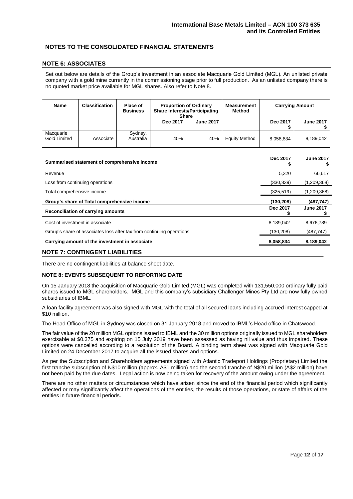#### **NOTE 6: ASSOCIATES**

Set out below are details of the Group's investment in an associate Macquarie Gold Limited (MGL). An unlisted private company with a gold mine currently in the commissioning stage prior to full production. As an unlisted company there is no quoted market price available for MGL shares. Also refer to Note 8.

| Name                      | <b>Classification</b> | Place of<br><b>Business</b> | <b>Proportion of Ordinary</b><br><b>Share Interests/Participating</b><br><b>Share</b> |                  | Measurement<br>Method |           | <b>Carrying Amount</b> |
|---------------------------|-----------------------|-----------------------------|---------------------------------------------------------------------------------------|------------------|-----------------------|-----------|------------------------|
|                           |                       |                             | Dec 2017                                                                              | <b>June 2017</b> |                       | Dec 2017  | <b>June 2017</b>       |
| Macquarie<br>Gold Limited | Associate             | Sydney,<br>Australia        | 40%                                                                                   | 40%              | <b>Equity Method</b>  | 8,058,834 | 8.189.042              |

| Summarised statement of comprehensive income                          | Dec 2017   | <b>June 2017</b> |
|-----------------------------------------------------------------------|------------|------------------|
| Revenue                                                               | 5.320      | 66,617           |
| Loss from continuing operations                                       | (330, 839) | (1,209,368)      |
| Total comprehensive income                                            | (325, 519) | (1,209,368)      |
| Group's share of Total comprehensive income                           | (130, 208) | (487, 747)       |
| Reconciliation of carrying amounts                                    | Dec 2017   | <b>June 2017</b> |
| Cost of investment in associate                                       | 8,189,042  | 8,676,789        |
| Group's share of associates loss after tax from continuing operations | (130,208)  | (487, 747)       |
| Carrying amount of the investment in associate                        | 8,058,834  | 8,189,042        |
|                                                                       |            |                  |

#### **NOTE 7: CONTINGENT LIABILITIES**

There are no contingent liabilities at balance sheet date.

#### **NOTE 8: EVENTS SUBSEQUENT TO REPORTING DATE**

On 15 January 2018 the acquisition of Macquarie Gold Limited (MGL) was completed with 131,550,000 ordinary fully paid shares issued to MGL shareholders. MGL and this company's subsidiary Challenger Mines Pty Ltd are now fully owned subsidiaries of IBML.

A loan facility agreement was also signed with MGL with the total of all secured loans including accrued interest capped at \$10 million.

The Head Office of MGL in Sydney was closed on 31 January 2018 and moved to IBML's Head office in Chatswood.

The fair value of the 20 million MGL options issued to IBML and the 30 million options originally issued to MGL shareholders exercisable at \$0.375 and expiring on 15 July 2019 have been assessed as having nil value and thus impaired. These options were cancelled according to a resolution of the Board. A binding term sheet was signed with Macquarie Gold Limited on 24 December 2017 to acquire all the issued shares and options.

As per the Subscription and Shareholders agreements signed with Atlantic Tradeport Holdings (Proprietary) Limited the first tranche subscription of N\$10 million (approx. A\$1 million) and the second tranche of N\$20 million (A\$2 million) have not been paid by the due dates. Legal action is now being taken for recovery of the amount owing under the agreement.

There are no other matters or circumstances which have arisen since the end of the financial period which significantly affected or may significantly affect the operations of the entities, the results of those operations, or state of affairs of the entities in future financial periods.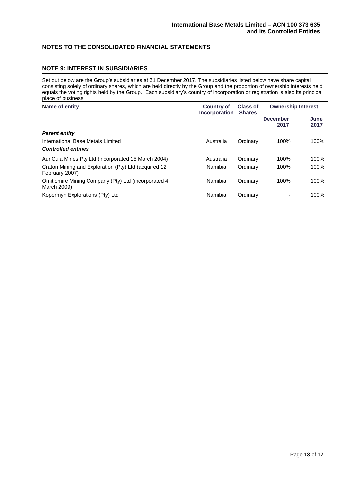## **NOTE 9: INTEREST IN SUBSIDIARIES**

Set out below are the Group's subsidiaries at 31 December 2017. The subsidiaries listed below have share capital consisting solely of ordinary shares, which are held directly by the Group and the proportion of ownership interests held equals the voting rights held by the Group. Each subsidiary's country of incorporation or registration is also its principal place of business.

#### **Name of entity Country of Incorporation Shares Class of Ownership Interest December 2017 June 2017** *Parent entity* International Base Metals Limited **Australia** Australia Ordinary 100% 100% *Controlled entities* AuriCula Mines Pty Ltd (incorporated 15 March 2004) Australia Ordinary 100% 100% Craton Mining and Exploration (Pty) Ltd (acquired 12 February 2007) Namibia Ordinary 100% 100% Omitiomire Mining Company (Pty) Ltd (incorporated 4 March 2009) Namibia Ordinary 100% 100% Kopermyn Explorations (Pty) Ltd **Namibia** Ordinary **- 100%**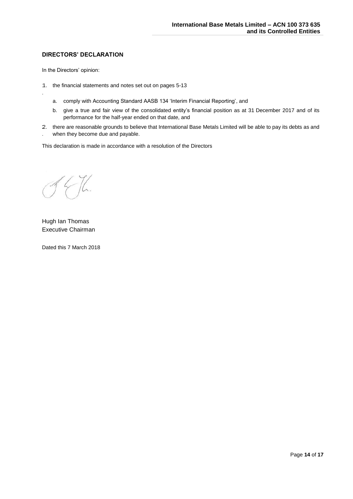## **DIRECTORS' DECLARATION**

In the Directors' opinion:

.

- 1 1. the financial statements and notes set out on pages 5-13
	- a. comply with Accounting Standard AASB 134 'Interim Financial Reporting', and
	- b. give a true and fair view of the consolidated entity's financial position as at 31 December 2017 and of its performance for the half-year ended on that date, and
- 2 2. there are reasonable grounds to believe that International Base Metals Limited will be able to pay its debts as and . when they become due and payable.

This declaration is made in accordance with a resolution of the Directors

Hugh Ian Thomas Executive Chairman

Dated this 7 March 2018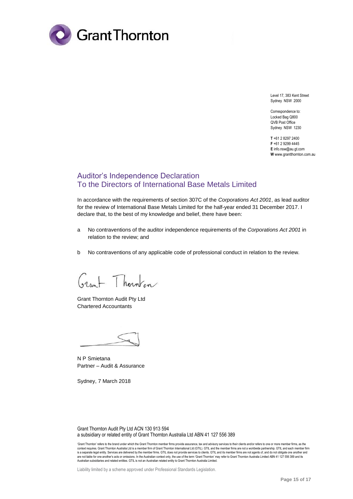

Level 17, 383 Kent Street Sydney NSW 2000

Correspondence to: Locked Bag Q800 QVB Post Office Sydney NSW 1230

**T** +61 2 8297 2400 **F** +61 2 9299 4445 **E** info.nsw@au.gt.com **W** www.grantthornton.com.au

# Auditor's Independence Declaration To the Directors of International Base Metals Limited

In accordance with the requirements of section 307C of the *Corporations Act 2001*, as lead auditor for the review of International Base Metals Limited for the half-year ended 31 December 2017. I declare that, to the best of my knowledge and belief, there have been:

- a No contraventions of the auditor independence requirements of the *Corporations Act 2001* in relation to the review; and
- b No contraventions of any applicable code of professional conduct in relation to the review.

hornfon

Grant Thornton Audit Pty Ltd Chartered Accountants

N P Smietana Partner – Audit & Assurance

Sydney, 7 March 2018

Grant Thornton Audit Pty Ltd ACN 130 913 594 a subsidiary or related entity of Grant Thornton Australia Ltd ABN 41 127 556 389

Liability limited by a scheme approved under Professional Standards Legislation.

<sup>&#</sup>x27;Grant Thornton' refers to the brand under which the Grant Thornton member firms provide assurance, tax and advisory services to their clients and/or refers to one or more member firms, as the context requires. Grant Thornton Australia Ltd is a member firm of Grant Thornton International Ltd (GTIL). GTIL and the member firms are not a worldwide partnership. GTIL and each member firm<br>is a separate legal entity. S are not liable for one another's acts or omissions. In the Australian context only, the use of the term 'Grant Thornton' may refer to Grant Thornton Australia Limited ABN 41 127 556 389 and its<br>Australian subsidiaries and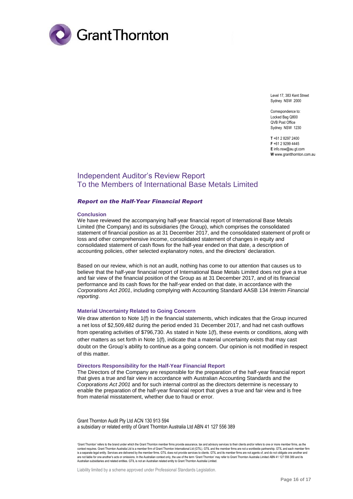

Level 17, 383 Kent Street Sydney NSW 2000

Correspondence to: Locked Bag Q800 QVB Post Office Sydney NSW 1230

**T** +61 2 8297 2400 **F** +61 2 9299 4445 **E** info.nsw@au.gt.com **W** www.grantthornton.com.au

# Independent Auditor's Review Report To the Members of International Base Metals Limited

#### *Report on the Half-Year Financial Report*

#### **Conclusion**

We have reviewed the accompanying half-year financial report of International Base Metals Limited (the Company) and its subsidiaries (the Group), which comprises the consolidated statement of financial position as at 31 December 2017, and the consolidated statement of profit or loss and other comprehensive income, consolidated statement of changes in equity and consolidated statement of cash flows for the half-year ended on that date, a description of accounting policies, other selected explanatory notes, and the directors' declaration.

Based on our review, which is not an audit, nothing has come to our attention that causes us to believe that the half-year financial report of International Base Metals Limited does not give a true and fair view of the financial position of the Group as at 31 December 2017, and of its financial performance and its cash flows for the half-year ended on that date, in accordance with the *Corporations Act 2001*, including complying with Accounting Standard AASB 134 *Interim Financial reporting*.

#### **Material Uncertainty Related to Going Concern**

We draw attention to Note 1(f) in the financial statements, which indicates that the Group incurred a net loss of \$2,509,482 during the period ended 31 December 2017, and had net cash outflows from operating activities of \$796,730. As stated in Note 1(f), these events or conditions, along with other matters as set forth in Note 1(f), indicate that a material uncertainty exists that may cast doubt on the Group's ability to continue as a going concern. Our opinion is not modified in respect of this matter.

#### **Directors Responsibility for the Half-Year Financial Report**

The Directors of the Company are responsible for the preparation of the half-year financial report that gives a true and fair view in accordance with Australian Accounting Standards and the *Corporations Act 2001* and for such internal control as the directors determine is necessary to enable the preparation of the half-year financial report that gives a true and fair view and is free from material misstatement, whether due to fraud or error.

Grant Thornton Audit Pty Ltd ACN 130 913 594 a subsidiary or related entity of Grant Thornton Australia Ltd ABN 41 127 556 389

'Grant Thornton' refers to the brand under which the Grant Thornton member firms provide assurance, tax and advisory services to their clients and/or refers to one or more member firms, as the context requires. Grant Thornton Australia Ltd is a member firm of Grant Thornton International Ltd (GTIL). GTIL and the member firms are not a worldwide partnership. GTIL and each member firm is a separate legal entity. Services are delivered by the member firms. GTIL does not provide services to clients. GTIL and its member firms are not agents of, and do not obligate one another and are not liable for one another's acts or omissions. In the Australian context only, the use of the term 'Grant Thornton' may refer to Grant Thornton Australia Limited ABN 41 127 556 389 and its Australian subsidiaries and related entities. GTIL is not an Australian related entity to Grant Thornton Australia Limited.

Liability limited by a scheme approved under Professional Standards Legislation.